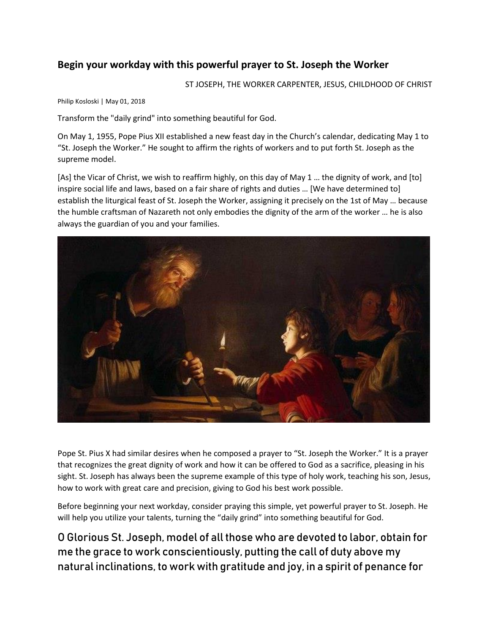## **Begin your workday with this powerful prayer to St. Joseph the Worker**

ST JOSEPH, THE WORKER CARPENTER, JESUS, CHILDHOOD OF CHRIST

Philip Kosloski | May 01, 2018

Transform the "daily grind" into something beautiful for God.

On May 1, 1955, Pope Pius XII established a new feast day in the Church's calendar, dedicating May 1 to "St. Joseph the Worker." He sought to affirm the rights of workers and to put forth St. Joseph as the supreme model.

[As] the Vicar of Christ, we wish to reaffirm highly, on this day of May 1 … the dignity of work, and [to] inspire social life and laws, based on a fair share of rights and duties … [We have determined to] establish the liturgical feast of St. Joseph the Worker, assigning it precisely on the 1st of May … because the humble craftsman of Nazareth not only embodies the dignity of the arm of the worker … he is also always the guardian of you and your families.



Pope St. Pius X had similar desires when he composed a prayer to "St. Joseph the Worker." It is a prayer that recognizes the great dignity of work and how it can be offered to God as a sacrifice, pleasing in his sight. St. Joseph has always been the supreme example of this type of holy work, teaching his son, Jesus, how to work with great care and precision, giving to God his best work possible.

Before beginning your next workday, consider praying this simple, yet powerful prayer to St. Joseph. He will help you utilize your talents, turning the "daily grind" into something beautiful for God.

O Glorious St. Joseph, model of all those who are devoted to labor, obtain for me the grace to work conscientiously, putting the call of duty above my natural inclinations, to work with gratitude and joy, in a spirit of penance for